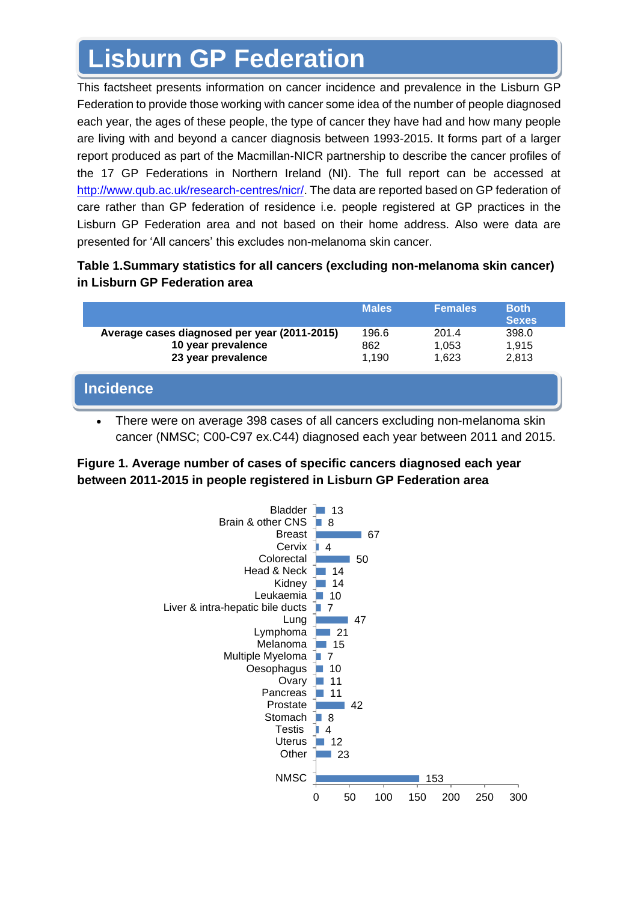# **Lisburn GP Federation**

This factsheet presents information on cancer incidence and prevalence in the Lisburn GP Federation to provide those working with cancer some idea of the number of people diagnosed each year, the ages of these people, the type of cancer they have had and how many people are living with and beyond a cancer diagnosis between 1993-2015. It forms part of a larger report produced as part of the Macmillan-NICR partnership to describe the cancer profiles of the 17 GP Federations in Northern Ireland (NI). The full report can be accessed at [http://www.qub.ac.uk/research-centres/nicr/.](http://www.qub.ac.uk/research-centres/nicr/) The data are reported based on GP federation of care rather than GP federation of residence i.e. people registered at GP practices in the Lisburn GP Federation area and not based on their home address. Also were data are presented for 'All cancers' this excludes non-melanoma skin cancer.

## **Table 1.Summary statistics for all cancers (excluding non-melanoma skin cancer) in Lisburn GP Federation area**

|                                                                                          | <b>Males</b>          | <b>Females</b>          | <b>Both</b><br><b>Sexes</b> |
|------------------------------------------------------------------------------------------|-----------------------|-------------------------|-----------------------------|
| Average cases diagnosed per year (2011-2015)<br>10 year prevalence<br>23 year prevalence | 196.6<br>862<br>1,190 | 201.4<br>1,053<br>1.623 | 398.0<br>1,915<br>2,813     |
| <b>Incidence</b>                                                                         |                       |                         |                             |

• There were on average 398 cases of all cancers excluding non-melanoma skin cancer (NMSC; C00-C97 ex.C44) diagnosed each year between 2011 and 2015.

## **Figure 1. Average number of cases of specific cancers diagnosed each year between 2011-2015 in people registered in Lisburn GP Federation area**

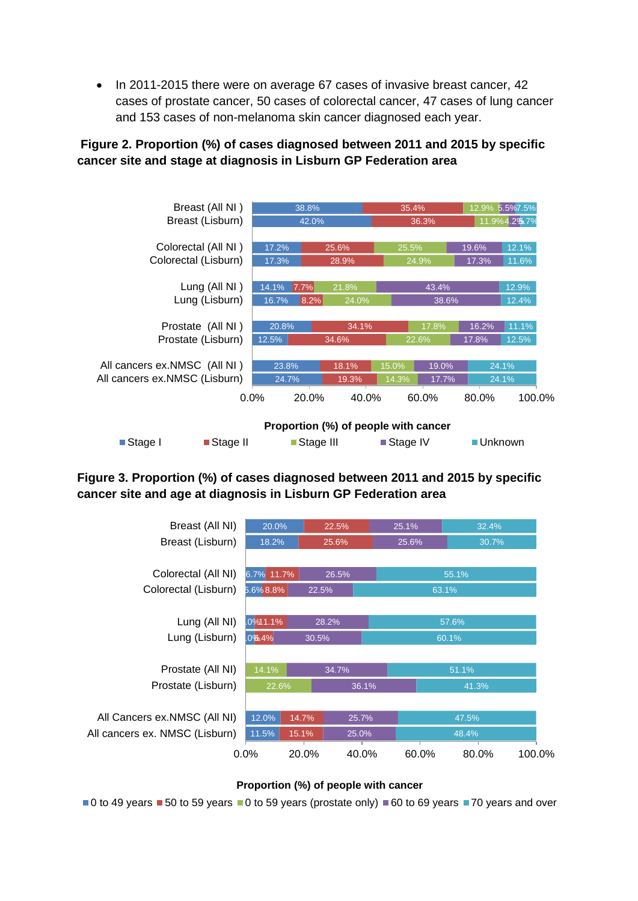• In 2011-2015 there were on average 67 cases of invasive breast cancer, 42 cases of prostate cancer, 50 cases of colorectal cancer, 47 cases of lung cancer and 153 cases of non-melanoma skin cancer diagnosed each year.

## **Figure 2. Proportion (%) of cases diagnosed between 2011 and 2015 by specific cancer site and stage at diagnosis in Lisburn GP Federation area**



## **Figure 3. Proportion (%) of cases diagnosed between 2011 and 2015 by specific cancer site and age at diagnosis in Lisburn GP Federation area**

| Breast (All NI)<br>20.0%<br>22.5%<br>25.1%<br>32.4%<br>Breast (Lisburn)<br>25.6%<br>18.2%<br>25.6%<br>30.7%<br>Colorectal (All NI)<br>6.7% 11.7%<br>26.5%<br>55.1%<br>Colorectal (Lisburn)<br>5.6%8.8%<br>22.5%<br>63.1%<br>Lung (All NI)<br>$.0\%11.1\%$<br>28.2%<br>57.6%<br>Lung (Lisburn)<br>.0%4%<br>60.1%<br>30.5%<br>Prostate (All NI)<br>14.1%<br>51.1%<br>34.7%<br>Prostate (Lisburn)<br>22.6%<br>36.1%<br>41.3%<br>All Cancers ex.NMSC (All NI)<br>12.0%<br>14.7%<br>25.7%<br>47.5%<br>All cancers ex. NMSC (Lisburn)<br>11.5%<br>15.1%<br>25.0%<br>48.4%<br>0.0%<br>40.0%<br>80.0%<br>20.0%<br>60.0% |  |  |  |  |        |  |
|-----------------------------------------------------------------------------------------------------------------------------------------------------------------------------------------------------------------------------------------------------------------------------------------------------------------------------------------------------------------------------------------------------------------------------------------------------------------------------------------------------------------------------------------------------------------------------------------------------------------|--|--|--|--|--------|--|
|                                                                                                                                                                                                                                                                                                                                                                                                                                                                                                                                                                                                                 |  |  |  |  |        |  |
|                                                                                                                                                                                                                                                                                                                                                                                                                                                                                                                                                                                                                 |  |  |  |  |        |  |
|                                                                                                                                                                                                                                                                                                                                                                                                                                                                                                                                                                                                                 |  |  |  |  |        |  |
|                                                                                                                                                                                                                                                                                                                                                                                                                                                                                                                                                                                                                 |  |  |  |  |        |  |
|                                                                                                                                                                                                                                                                                                                                                                                                                                                                                                                                                                                                                 |  |  |  |  |        |  |
|                                                                                                                                                                                                                                                                                                                                                                                                                                                                                                                                                                                                                 |  |  |  |  |        |  |
|                                                                                                                                                                                                                                                                                                                                                                                                                                                                                                                                                                                                                 |  |  |  |  |        |  |
|                                                                                                                                                                                                                                                                                                                                                                                                                                                                                                                                                                                                                 |  |  |  |  |        |  |
|                                                                                                                                                                                                                                                                                                                                                                                                                                                                                                                                                                                                                 |  |  |  |  |        |  |
|                                                                                                                                                                                                                                                                                                                                                                                                                                                                                                                                                                                                                 |  |  |  |  |        |  |
|                                                                                                                                                                                                                                                                                                                                                                                                                                                                                                                                                                                                                 |  |  |  |  |        |  |
|                                                                                                                                                                                                                                                                                                                                                                                                                                                                                                                                                                                                                 |  |  |  |  |        |  |
|                                                                                                                                                                                                                                                                                                                                                                                                                                                                                                                                                                                                                 |  |  |  |  |        |  |
|                                                                                                                                                                                                                                                                                                                                                                                                                                                                                                                                                                                                                 |  |  |  |  |        |  |
|                                                                                                                                                                                                                                                                                                                                                                                                                                                                                                                                                                                                                 |  |  |  |  | 100.0% |  |

#### **Proportion (%) of people with cancer**

 $\blacksquare$ 0 to 49 years  $\blacksquare$  50 to 59 years  $\blacksquare$ 0 to 59 years (prostate only)  $\blacksquare$  60 to 69 years  $\blacksquare$  70 years and over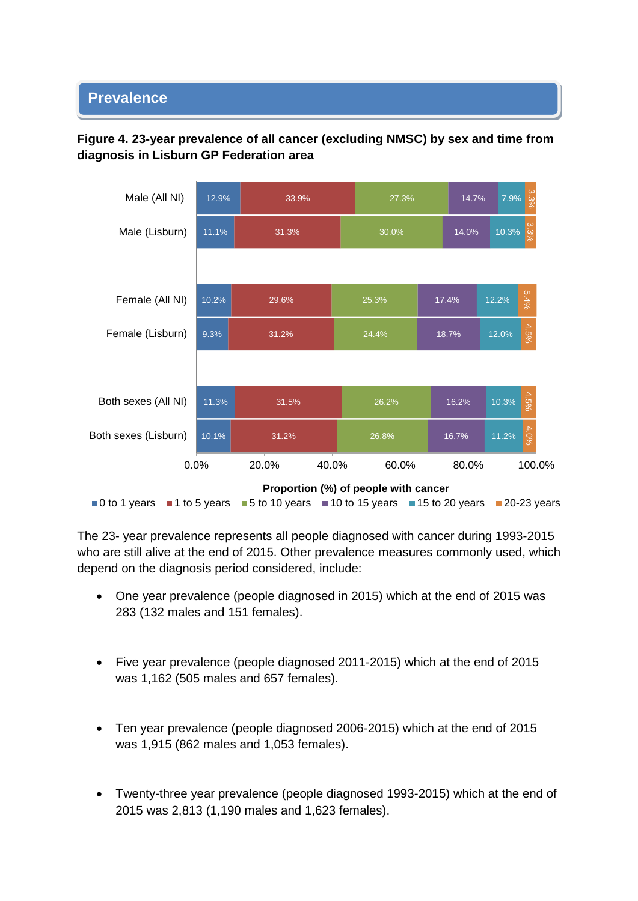#### • **Prevalence**





The 23- year prevalence represents all people diagnosed with cancer during 1993-2015 who are still alive at the end of 2015. Other prevalence measures commonly used, which depend on the diagnosis period considered, include:

- One year prevalence (people diagnosed in 2015) which at the end of 2015 was 283 (132 males and 151 females).
- Five year prevalence (people diagnosed 2011-2015) which at the end of 2015 was 1,162 (505 males and 657 females).
- Ten year prevalence (people diagnosed 2006-2015) which at the end of 2015 was 1,915 (862 males and 1,053 females).
- Twenty-three year prevalence (people diagnosed 1993-2015) which at the end of 2015 was 2,813 (1,190 males and 1,623 females).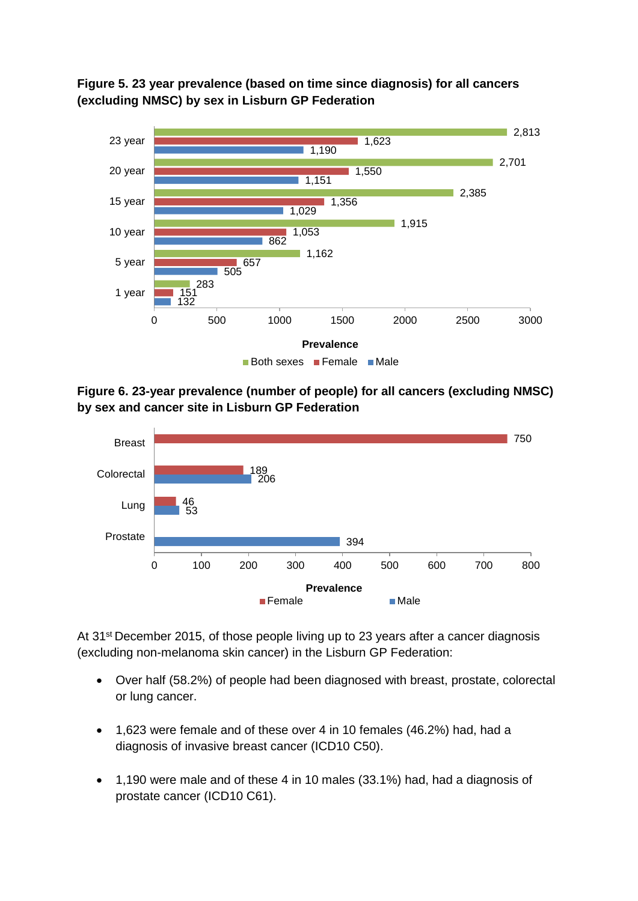**Figure 5. 23 year prevalence (based on time since diagnosis) for all cancers (excluding NMSC) by sex in Lisburn GP Federation** 



**Figure 6. 23-year prevalence (number of people) for all cancers (excluding NMSC) by sex and cancer site in Lisburn GP Federation**



At 31<sup>st</sup> December 2015, of those people living up to 23 years after a cancer diagnosis (excluding non-melanoma skin cancer) in the Lisburn GP Federation:

- Over half (58.2%) of people had been diagnosed with breast, prostate, colorectal or lung cancer.
- 1,623 were female and of these over 4 in 10 females (46.2%) had, had a diagnosis of invasive breast cancer (ICD10 C50).
- 1,190 were male and of these 4 in 10 males (33.1%) had, had a diagnosis of prostate cancer (ICD10 C61).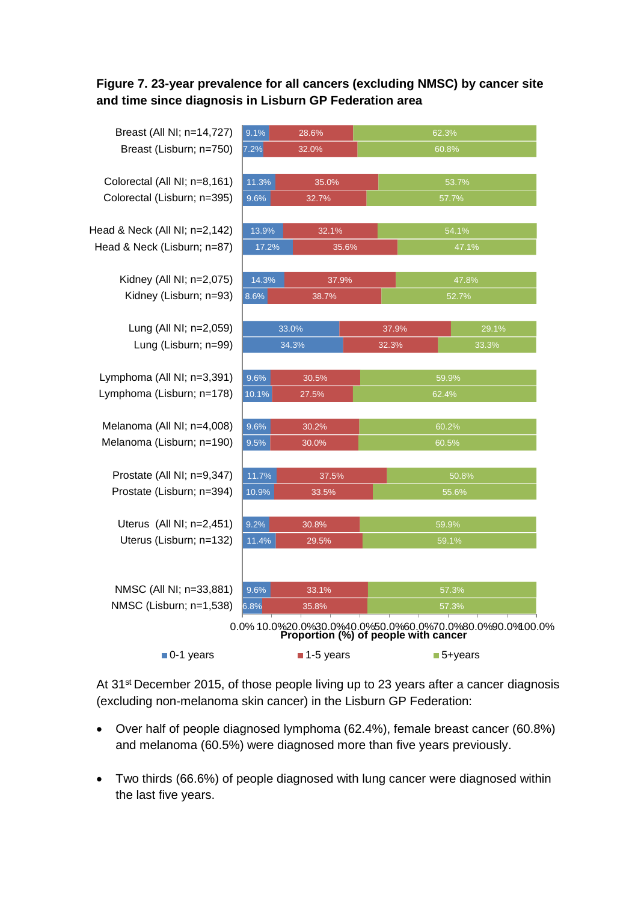## **Figure 7. 23-year prevalence for all cancers (excluding NMSC) by cancer site and time since diagnosis in Lisburn GP Federation area**

| Breast (All NI; n=14,727)     | 9.1%  | 28.6%                                |       | 62.3% |                                                                  |  |
|-------------------------------|-------|--------------------------------------|-------|-------|------------------------------------------------------------------|--|
| Breast (Lisburn; n=750)       | 7.2%  | 32.0%                                |       | 60.8% |                                                                  |  |
|                               |       |                                      |       |       |                                                                  |  |
| Colorectal (All NI; n=8,161)  | 11.3% | 35.0%                                |       |       | 53.7%                                                            |  |
| Colorectal (Lisburn; n=395)   | 9.6%  | 32.7%                                |       |       | 57.7%                                                            |  |
|                               |       |                                      |       |       |                                                                  |  |
| Head & Neck (All NI; n=2,142) | 13.9% | 32.1%                                |       |       | 54.1%                                                            |  |
| Head & Neck (Lisburn; n=87)   | 17.2% |                                      | 35.6% |       | 47.1%                                                            |  |
| Kidney (All NI; n=2,075)      | 14.3% | 37.9%                                |       |       | 47.8%                                                            |  |
| Kidney (Lisburn; n=93)        | 8.6%  | 38.7%                                |       |       | 52.7%                                                            |  |
|                               |       |                                      |       |       |                                                                  |  |
| Lung (All NI; n=2,059)        |       | 33.0%                                |       | 37.9% | 29.1%                                                            |  |
| Lung (Lisburn; n=99)          |       | 34.3%                                |       | 32.3% | 33.3%                                                            |  |
|                               |       |                                      |       |       |                                                                  |  |
| Lymphoma (All NI; n=3,391)    | 9.6%  | 30.5%                                |       | 59.9% |                                                                  |  |
| Lymphoma (Lisburn; n=178)     | 10.1% | 27.5%                                |       | 62.4% |                                                                  |  |
| Melanoma (All NI; n=4,008)    | 9.6%  | 30.2%                                |       | 60.2% |                                                                  |  |
| Melanoma (Lisburn; n=190)     | 9.5%  | 30.0%                                |       | 60.5% |                                                                  |  |
|                               |       |                                      |       |       |                                                                  |  |
| Prostate (All NI; n=9,347)    | 11.7% | 37.5%                                |       |       | 50.8%                                                            |  |
| Prostate (Lisburn; n=394)     | 10.9% | 33.5%                                |       |       | 55.6%                                                            |  |
|                               |       |                                      |       |       |                                                                  |  |
| Uterus (All NI; n=2,451)      | 9.2%  | 30.8%<br>59.9%                       |       |       |                                                                  |  |
| Uterus (Lisburn; n=132)       | 11.4% | 29.5%                                |       | 59.1% |                                                                  |  |
|                               |       |                                      |       |       |                                                                  |  |
| NMSC (All NI; n=33,881)       | 9.6%  | 33.1%                                |       |       | 57.3%                                                            |  |
| NMSC (Lisburn; n=1,538)       | 6.8%  | 35.8%                                |       |       | 57.3%                                                            |  |
|                               |       |                                      |       |       | 0.0% 10.0% 20.0% 30.0% 40.0% 50.0% 60.0% 70.0% 80.0% 90.0% 10.0% |  |
|                               |       | Proportion (%) of people with cancer |       |       |                                                                  |  |
| $\blacksquare$ 0-1 years      |       | 1-5 years                            |       |       | ■5+years                                                         |  |

At 31<sup>st</sup> December 2015, of those people living up to 23 years after a cancer diagnosis (excluding non-melanoma skin cancer) in the Lisburn GP Federation:

- Over half of people diagnosed lymphoma (62.4%), female breast cancer (60.8%) and melanoma (60.5%) were diagnosed more than five years previously.
- Two thirds (66.6%) of people diagnosed with lung cancer were diagnosed within the last five years.